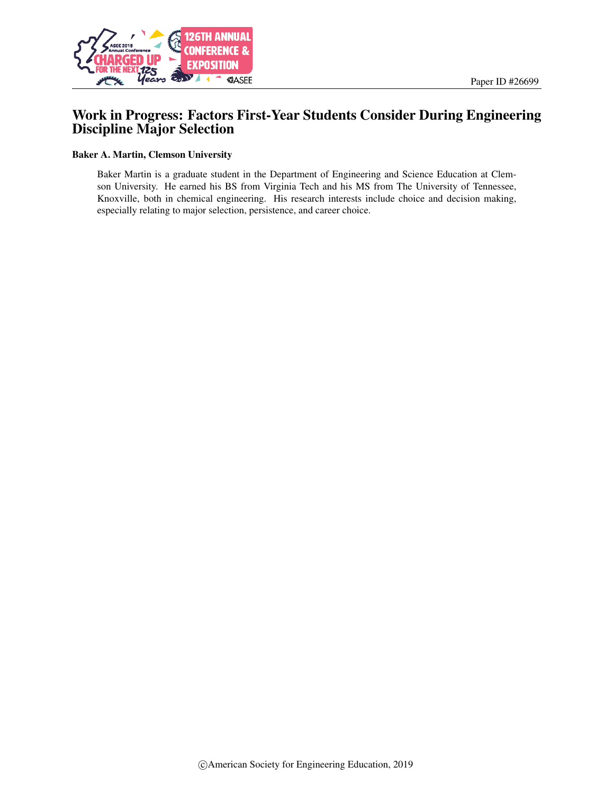

# Work in Progress: Factors First-Year Students Consider During Engineering Discipline Major Selection

#### Baker A. Martin, Clemson University

Baker Martin is a graduate student in the Department of Engineering and Science Education at Clemson University. He earned his BS from Virginia Tech and his MS from The University of Tennessee, Knoxville, both in chemical engineering. His research interests include choice and decision making, especially relating to major selection, persistence, and career choice.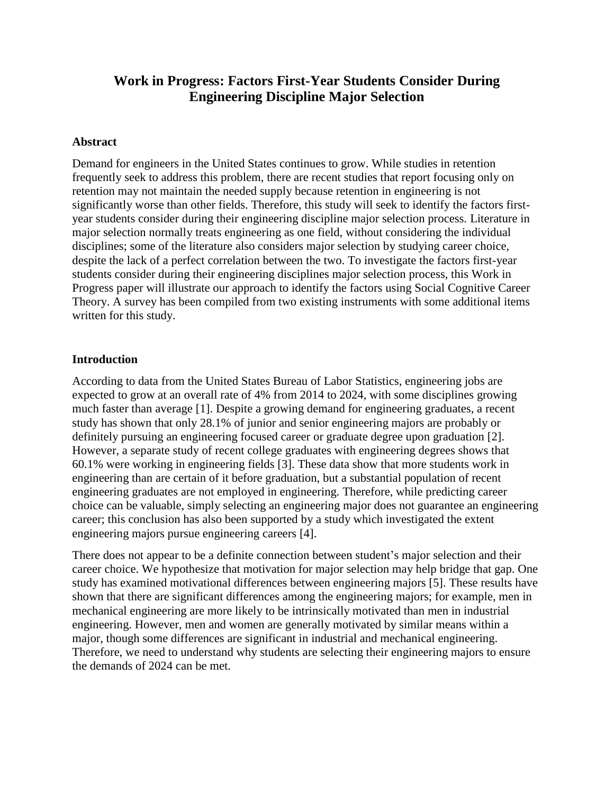# **Work in Progress: Factors First-Year Students Consider During Engineering Discipline Major Selection**

## **Abstract**

Demand for engineers in the United States continues to grow. While studies in retention frequently seek to address this problem, there are recent studies that report focusing only on retention may not maintain the needed supply because retention in engineering is not significantly worse than other fields. Therefore, this study will seek to identify the factors firstyear students consider during their engineering discipline major selection process. Literature in major selection normally treats engineering as one field, without considering the individual disciplines; some of the literature also considers major selection by studying career choice, despite the lack of a perfect correlation between the two. To investigate the factors first-year students consider during their engineering disciplines major selection process, this Work in Progress paper will illustrate our approach to identify the factors using Social Cognitive Career Theory. A survey has been compiled from two existing instruments with some additional items written for this study.

### **Introduction**

According to data from the United States Bureau of Labor Statistics, engineering jobs are expected to grow at an overall rate of 4% from 2014 to 2024, with some disciplines growing much faster than average [1]. Despite a growing demand for engineering graduates, a recent study has shown that only 28.1% of junior and senior engineering majors are probably or definitely pursuing an engineering focused career or graduate degree upon graduation [2]. However, a separate study of recent college graduates with engineering degrees shows that 60.1% were working in engineering fields [3]. These data show that more students work in engineering than are certain of it before graduation, but a substantial population of recent engineering graduates are not employed in engineering. Therefore, while predicting career choice can be valuable, simply selecting an engineering major does not guarantee an engineering career; this conclusion has also been supported by a study which investigated the extent engineering majors pursue engineering careers [4].

There does not appear to be a definite connection between student's major selection and their career choice. We hypothesize that motivation for major selection may help bridge that gap. One study has examined motivational differences between engineering majors [5]. These results have shown that there are significant differences among the engineering majors; for example, men in mechanical engineering are more likely to be intrinsically motivated than men in industrial engineering. However, men and women are generally motivated by similar means within a major, though some differences are significant in industrial and mechanical engineering. Therefore, we need to understand why students are selecting their engineering majors to ensure the demands of 2024 can be met.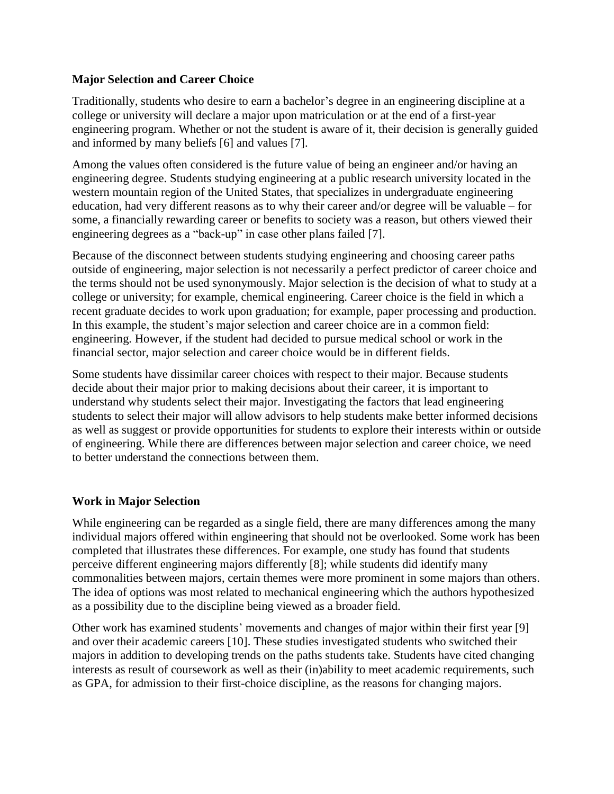# **Major Selection and Career Choice**

Traditionally, students who desire to earn a bachelor's degree in an engineering discipline at a college or university will declare a major upon matriculation or at the end of a first-year engineering program. Whether or not the student is aware of it, their decision is generally guided and informed by many beliefs [6] and values [7].

Among the values often considered is the future value of being an engineer and/or having an engineering degree. Students studying engineering at a public research university located in the western mountain region of the United States, that specializes in undergraduate engineering education, had very different reasons as to why their career and/or degree will be valuable – for some, a financially rewarding career or benefits to society was a reason, but others viewed their engineering degrees as a "back-up" in case other plans failed [7].

Because of the disconnect between students studying engineering and choosing career paths outside of engineering, major selection is not necessarily a perfect predictor of career choice and the terms should not be used synonymously. Major selection is the decision of what to study at a college or university; for example, chemical engineering. Career choice is the field in which a recent graduate decides to work upon graduation; for example, paper processing and production. In this example, the student's major selection and career choice are in a common field: engineering. However, if the student had decided to pursue medical school or work in the financial sector, major selection and career choice would be in different fields.

Some students have dissimilar career choices with respect to their major. Because students decide about their major prior to making decisions about their career, it is important to understand why students select their major. Investigating the factors that lead engineering students to select their major will allow advisors to help students make better informed decisions as well as suggest or provide opportunities for students to explore their interests within or outside of engineering. While there are differences between major selection and career choice, we need to better understand the connections between them.

# **Work in Major Selection**

While engineering can be regarded as a single field, there are many differences among the many individual majors offered within engineering that should not be overlooked. Some work has been completed that illustrates these differences. For example, one study has found that students perceive different engineering majors differently [8]; while students did identify many commonalities between majors, certain themes were more prominent in some majors than others. The idea of options was most related to mechanical engineering which the authors hypothesized as a possibility due to the discipline being viewed as a broader field.

Other work has examined students' movements and changes of major within their first year [9] and over their academic careers [10]. These studies investigated students who switched their majors in addition to developing trends on the paths students take. Students have cited changing interests as result of coursework as well as their (in)ability to meet academic requirements, such as GPA, for admission to their first-choice discipline, as the reasons for changing majors.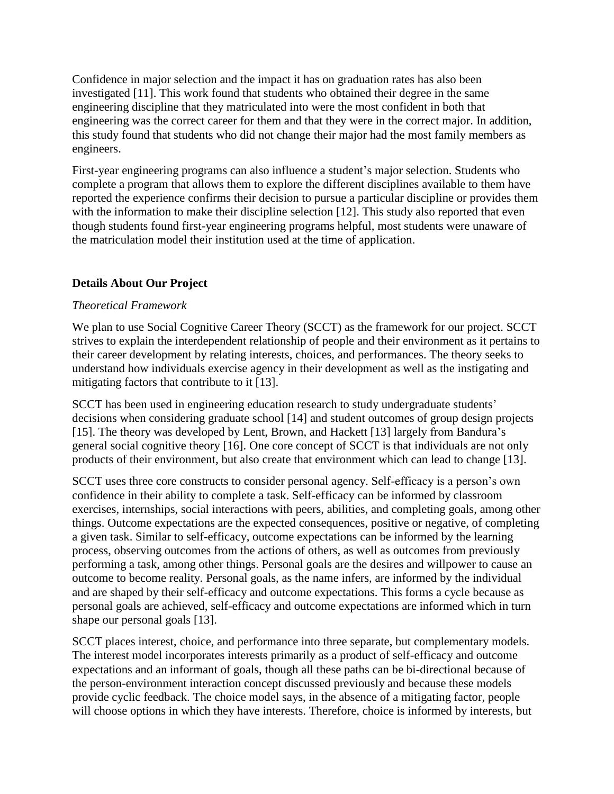Confidence in major selection and the impact it has on graduation rates has also been investigated [11]. This work found that students who obtained their degree in the same engineering discipline that they matriculated into were the most confident in both that engineering was the correct career for them and that they were in the correct major. In addition, this study found that students who did not change their major had the most family members as engineers.

First-year engineering programs can also influence a student's major selection. Students who complete a program that allows them to explore the different disciplines available to them have reported the experience confirms their decision to pursue a particular discipline or provides them with the information to make their discipline selection [12]. This study also reported that even though students found first-year engineering programs helpful, most students were unaware of the matriculation model their institution used at the time of application.

# **Details About Our Project**

## *Theoretical Framework*

We plan to use Social Cognitive Career Theory (SCCT) as the framework for our project. SCCT strives to explain the interdependent relationship of people and their environment as it pertains to their career development by relating interests, choices, and performances. The theory seeks to understand how individuals exercise agency in their development as well as the instigating and mitigating factors that contribute to it [13].

SCCT has been used in engineering education research to study undergraduate students' decisions when considering graduate school [14] and student outcomes of group design projects [15]. The theory was developed by Lent, Brown, and Hackett [13] largely from Bandura's general social cognitive theory [16]. One core concept of SCCT is that individuals are not only products of their environment, but also create that environment which can lead to change [13].

SCCT uses three core constructs to consider personal agency. Self-efficacy is a person's own confidence in their ability to complete a task. Self-efficacy can be informed by classroom exercises, internships, social interactions with peers, abilities, and completing goals, among other things. Outcome expectations are the expected consequences, positive or negative, of completing a given task. Similar to self-efficacy, outcome expectations can be informed by the learning process, observing outcomes from the actions of others, as well as outcomes from previously performing a task, among other things. Personal goals are the desires and willpower to cause an outcome to become reality. Personal goals, as the name infers, are informed by the individual and are shaped by their self-efficacy and outcome expectations. This forms a cycle because as personal goals are achieved, self-efficacy and outcome expectations are informed which in turn shape our personal goals [13].

SCCT places interest, choice, and performance into three separate, but complementary models. The interest model incorporates interests primarily as a product of self-efficacy and outcome expectations and an informant of goals, though all these paths can be bi-directional because of the person-environment interaction concept discussed previously and because these models provide cyclic feedback. The choice model says, in the absence of a mitigating factor, people will choose options in which they have interests. Therefore, choice is informed by interests, but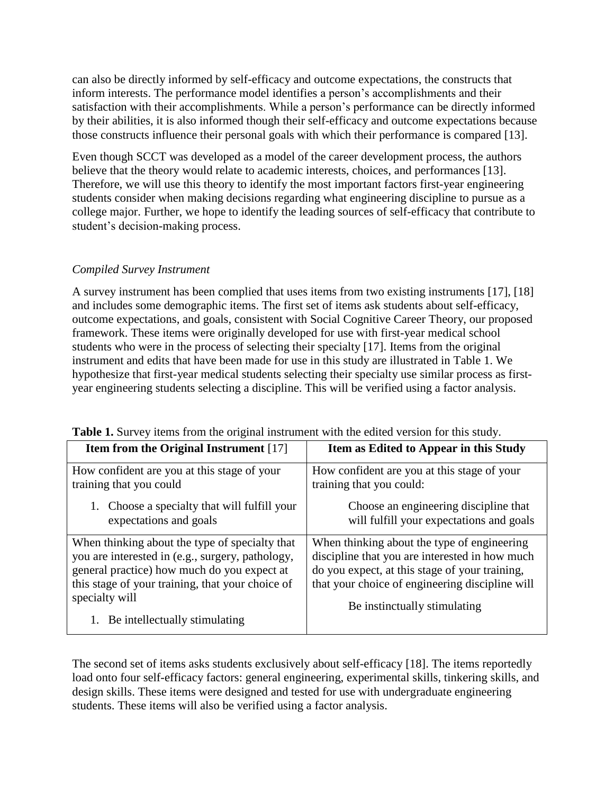can also be directly informed by self-efficacy and outcome expectations, the constructs that inform interests. The performance model identifies a person's accomplishments and their satisfaction with their accomplishments. While a person's performance can be directly informed by their abilities, it is also informed though their self-efficacy and outcome expectations because those constructs influence their personal goals with which their performance is compared [13].

Even though SCCT was developed as a model of the career development process, the authors believe that the theory would relate to academic interests, choices, and performances [13]. Therefore, we will use this theory to identify the most important factors first-year engineering students consider when making decisions regarding what engineering discipline to pursue as a college major. Further, we hope to identify the leading sources of self-efficacy that contribute to student's decision-making process.

# *Compiled Survey Instrument*

A survey instrument has been complied that uses items from two existing instruments [17], [18] and includes some demographic items. The first set of items ask students about self-efficacy, outcome expectations, and goals, consistent with Social Cognitive Career Theory, our proposed framework. These items were originally developed for use with first-year medical school students who were in the process of selecting their specialty [17]. Items from the original instrument and edits that have been made for use in this study are illustrated in Table 1. We hypothesize that first-year medical students selecting their specialty use similar process as firstyear engineering students selecting a discipline. This will be verified using a factor analysis.

| Item as Edited to Appear in this Study                                                                                                                                                                                             |
|------------------------------------------------------------------------------------------------------------------------------------------------------------------------------------------------------------------------------------|
| How confident are you at this stage of your<br>training that you could:                                                                                                                                                            |
| Choose an engineering discipline that<br>will fulfill your expectations and goals                                                                                                                                                  |
| When thinking about the type of engineering<br>discipline that you are interested in how much<br>do you expect, at this stage of your training,<br>that your choice of engineering discipline will<br>Be instinctually stimulating |
|                                                                                                                                                                                                                                    |

|  |  |  | Table 1. Survey items from the original instrument with the edited version for this study. |  |  |  |  |
|--|--|--|--------------------------------------------------------------------------------------------|--|--|--|--|
|  |  |  |                                                                                            |  |  |  |  |

The second set of items asks students exclusively about self-efficacy [18]. The items reportedly load onto four self-efficacy factors: general engineering, experimental skills, tinkering skills, and design skills. These items were designed and tested for use with undergraduate engineering students. These items will also be verified using a factor analysis.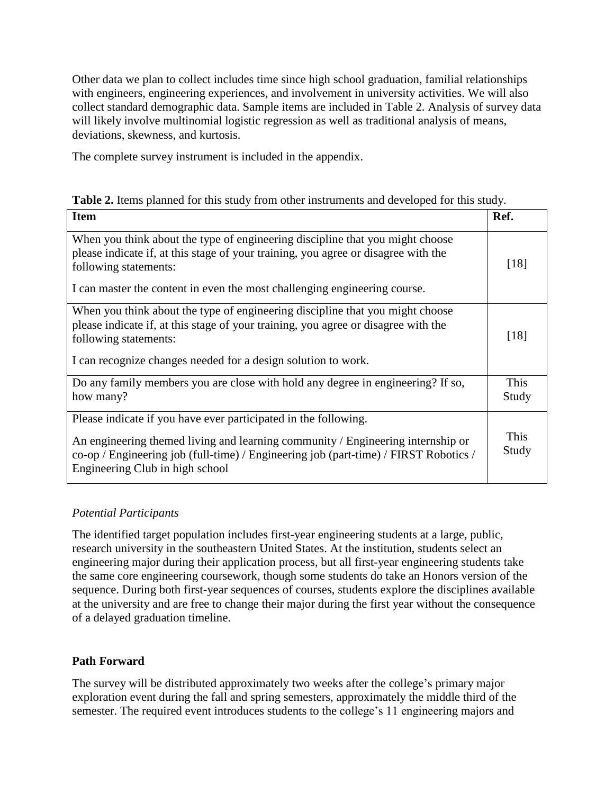Other data we plan to collect includes time since high school graduation, familial relationships with engineers, engineering experiences, and involvement in university activities. We will also collect standard demographic data. Sample items are included in Table 2. Analysis of survey data will likely involve multinomial logistic regression as well as traditional analysis of means, deviations, skewness, and kurtosis.

The complete survey instrument is included in the appendix.

|  | Table 2. Items planned for this study from other instruments and developed for this study. |
|--|--------------------------------------------------------------------------------------------|
|--|--------------------------------------------------------------------------------------------|

| <b>Item</b>                                                                                                                                                                                                                                                                   | Ref.          |
|-------------------------------------------------------------------------------------------------------------------------------------------------------------------------------------------------------------------------------------------------------------------------------|---------------|
| When you think about the type of engineering discipline that you might choose<br>please indicate if, at this stage of your training, you agree or disagree with the<br>following statements:<br>I can master the content in even the most challenging engineering course.     | [18]          |
| When you think about the type of engineering discipline that you might choose<br>please indicate if, at this stage of your training, you agree or disagree with the<br>following statements:<br>I can recognize changes needed for a design solution to work.                 | [18]          |
| Do any family members you are close with hold any degree in engineering? If so,<br>how many?                                                                                                                                                                                  | This<br>Study |
| Please indicate if you have ever participated in the following.<br>An engineering themed living and learning community / Engineering internship or<br>co-op / Engineering job (full-time) / Engineering job (part-time) / FIRST Robotics /<br>Engineering Club in high school | This<br>Study |

# *Potential Participants*

The identified target population includes first-year engineering students at a large, public, research university in the southeastern United States. At the institution, students select an engineering major during their application process, but all first-year engineering students take the same core engineering coursework, though some students do take an Honors version of the sequence. During both first-year sequences of courses, students explore the disciplines available at the university and are free to change their major during the first year without the consequence of a delayed graduation timeline.

# **Path Forward**

The survey will be distributed approximately two weeks after the college's primary major exploration event during the fall and spring semesters, approximately the middle third of the semester. The required event introduces students to the college's 11 engineering majors and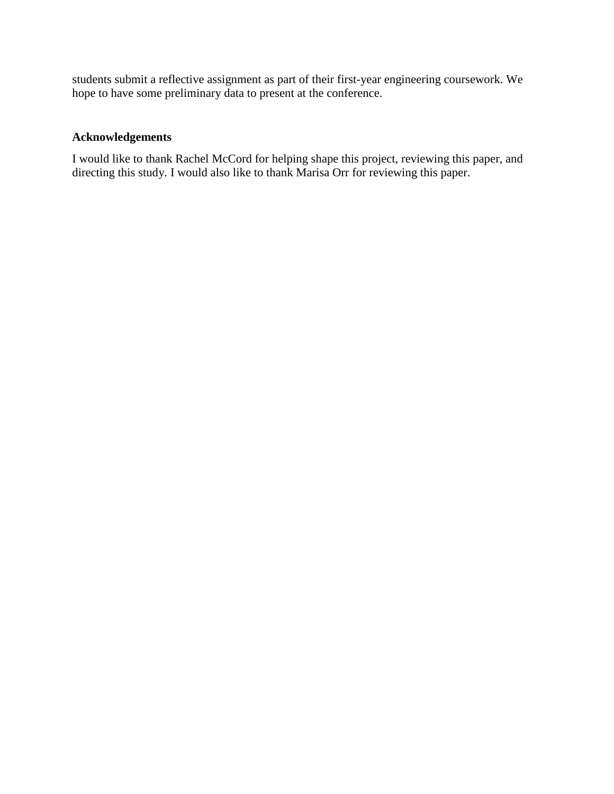students submit a reflective assignment as part of their first-year engineering coursework. We hope to have some preliminary data to present at the conference.

# **Acknowledgements**

I would like to thank Rachel McCord for helping shape this project, reviewing this paper, and directing this study. I would also like to thank Marisa Orr for reviewing this paper.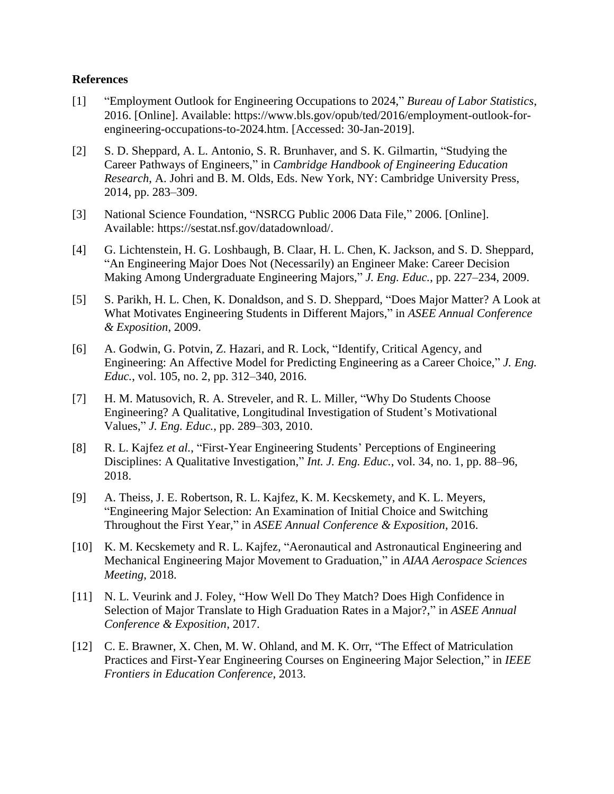### **References**

- [1] "Employment Outlook for Engineering Occupations to 2024," *Bureau of Labor Statistics*, 2016. [Online]. Available: https://www.bls.gov/opub/ted/2016/employment-outlook-forengineering-occupations-to-2024.htm. [Accessed: 30-Jan-2019].
- [2] S. D. Sheppard, A. L. Antonio, S. R. Brunhaver, and S. K. Gilmartin, "Studying the Career Pathways of Engineers," in *Cambridge Handbook of Engineering Education Research*, A. Johri and B. M. Olds, Eds. New York, NY: Cambridge University Press, 2014, pp. 283–309.
- [3] National Science Foundation, "NSRCG Public 2006 Data File," 2006. [Online]. Available: https://sestat.nsf.gov/datadownload/.
- [4] G. Lichtenstein, H. G. Loshbaugh, B. Claar, H. L. Chen, K. Jackson, and S. D. Sheppard, "An Engineering Major Does Not (Necessarily) an Engineer Make: Career Decision Making Among Undergraduate Engineering Majors," *J. Eng. Educ.*, pp. 227–234, 2009.
- [5] S. Parikh, H. L. Chen, K. Donaldson, and S. D. Sheppard, "Does Major Matter? A Look at What Motivates Engineering Students in Different Majors," in *ASEE Annual Conference & Exposition*, 2009.
- [6] A. Godwin, G. Potvin, Z. Hazari, and R. Lock, "Identify, Critical Agency, and Engineering: An Affective Model for Predicting Engineering as a Career Choice," *J. Eng. Educ.*, vol. 105, no. 2, pp. 312–340, 2016.
- [7] H. M. Matusovich, R. A. Streveler, and R. L. Miller, "Why Do Students Choose Engineering? A Qualitative, Longitudinal Investigation of Student's Motivational Values," *J. Eng. Educ.*, pp. 289–303, 2010.
- [8] R. L. Kajfez *et al.*, "First-Year Engineering Students' Perceptions of Engineering Disciplines: A Qualitative Investigation," *Int. J. Eng. Educ.*, vol. 34, no. 1, pp. 88–96, 2018.
- [9] A. Theiss, J. E. Robertson, R. L. Kajfez, K. M. Kecskemety, and K. L. Meyers, "Engineering Major Selection: An Examination of Initial Choice and Switching Throughout the First Year," in *ASEE Annual Conference & Exposition*, 2016.
- [10] K. M. Kecskemety and R. L. Kajfez, "Aeronautical and Astronautical Engineering and Mechanical Engineering Major Movement to Graduation," in *AIAA Aerospace Sciences Meeting*, 2018.
- [11] N. L. Veurink and J. Foley, "How Well Do They Match? Does High Confidence in Selection of Major Translate to High Graduation Rates in a Major?," in *ASEE Annual Conference & Exposition*, 2017.
- [12] C. E. Brawner, X. Chen, M. W. Ohland, and M. K. Orr, "The Effect of Matriculation Practices and First-Year Engineering Courses on Engineering Major Selection," in *IEEE Frontiers in Education Conference*, 2013.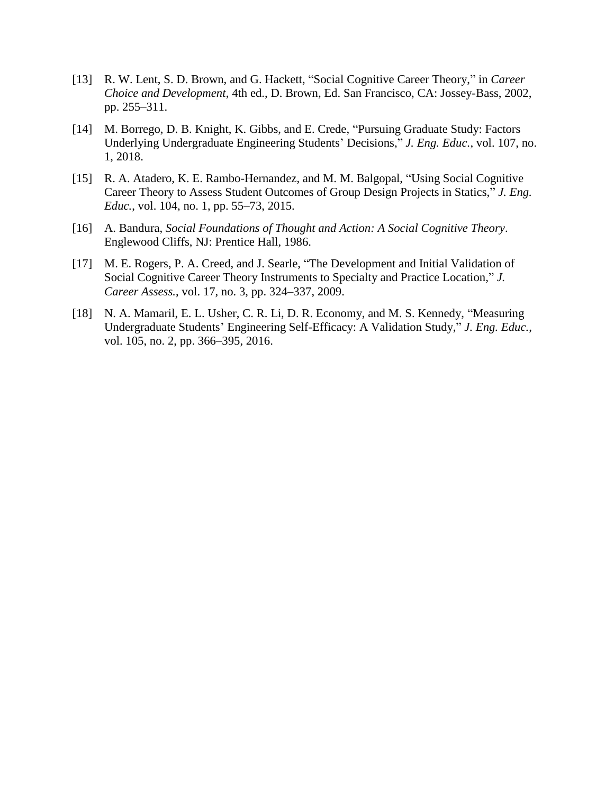- [13] R. W. Lent, S. D. Brown, and G. Hackett, "Social Cognitive Career Theory," in *Career Choice and Development*, 4th ed., D. Brown, Ed. San Francisco, CA: Jossey-Bass, 2002, pp. 255–311.
- [14] M. Borrego, D. B. Knight, K. Gibbs, and E. Crede, "Pursuing Graduate Study: Factors" Underlying Undergraduate Engineering Students' Decisions," *J. Eng. Educ.*, vol. 107, no. 1, 2018.
- [15] R. A. Atadero, K. E. Rambo-Hernandez, and M. M. Balgopal, "Using Social Cognitive Career Theory to Assess Student Outcomes of Group Design Projects in Statics," *J. Eng. Educ.*, vol. 104, no. 1, pp. 55–73, 2015.
- [16] A. Bandura, *Social Foundations of Thought and Action: A Social Cognitive Theory*. Englewood Cliffs, NJ: Prentice Hall, 1986.
- [17] M. E. Rogers, P. A. Creed, and J. Searle, "The Development and Initial Validation of Social Cognitive Career Theory Instruments to Specialty and Practice Location," *J. Career Assess.*, vol. 17, no. 3, pp. 324–337, 2009.
- [18] N. A. Mamaril, E. L. Usher, C. R. Li, D. R. Economy, and M. S. Kennedy, "Measuring Undergraduate Students' Engineering Self-Efficacy: A Validation Study," *J. Eng. Educ.*, vol. 105, no. 2, pp. 366–395, 2016.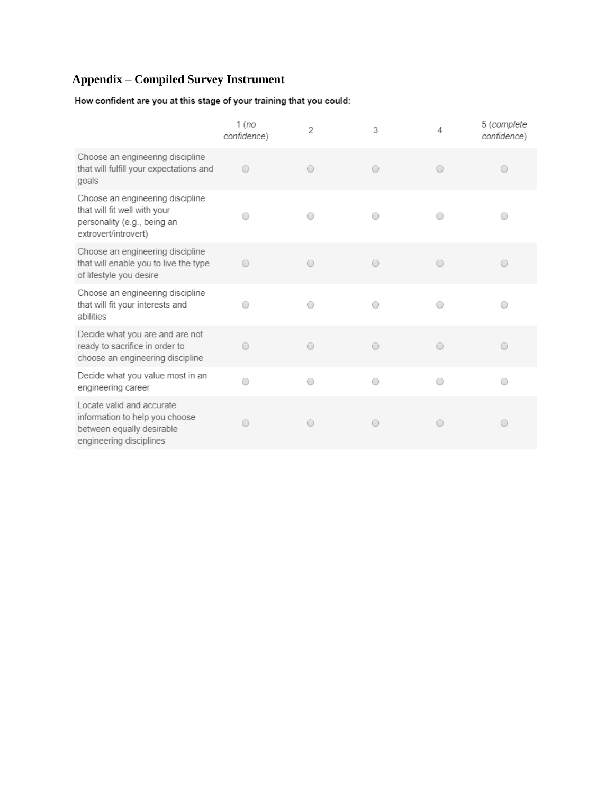# **Appendix – Compiled Survey Instrument**

How confident are you at this stage of your training that you could:

|                                                                                                                         | 1 (no<br>confidence) | 2 | 3          | 4          | 5 (complete<br>confidence)                      |
|-------------------------------------------------------------------------------------------------------------------------|----------------------|---|------------|------------|-------------------------------------------------|
| Choose an engineering discipline<br>that will fulfill your expectations and<br>goals                                    | ∩                    | 0 | $\bigcirc$ | $\bigcirc$ | $\hspace{0.5cm}\scriptstyle\hspace{0.5cm}\circ$ |
| Choose an engineering discipline<br>that will fit well with your<br>personality (e.g., being an<br>extrovert/introvert) |                      |   |            | ∩          |                                                 |
| Choose an engineering discipline<br>that will enable you to live the type<br>of lifestyle you desire                    | ∩                    | 0 | $\bigcirc$ | $\bigcirc$ |                                                 |
| Choose an engineering discipline<br>that will fit your interests and<br>abilities                                       |                      | ∩ | ∩          | ∩          | ◯                                               |
| Decide what you are and are not<br>ready to sacrifice in order to<br>choose an engineering discipline                   |                      | ∩ | ∩          | ∩          |                                                 |
| Decide what you value most in an<br>engineering career                                                                  |                      | ∩ | ∩          | ∩          | ∩                                               |
| Locate valid and accurate<br>information to help you choose<br>between equally desirable<br>engineering disciplines     |                      | ∩ | ○          | ∩          | 0                                               |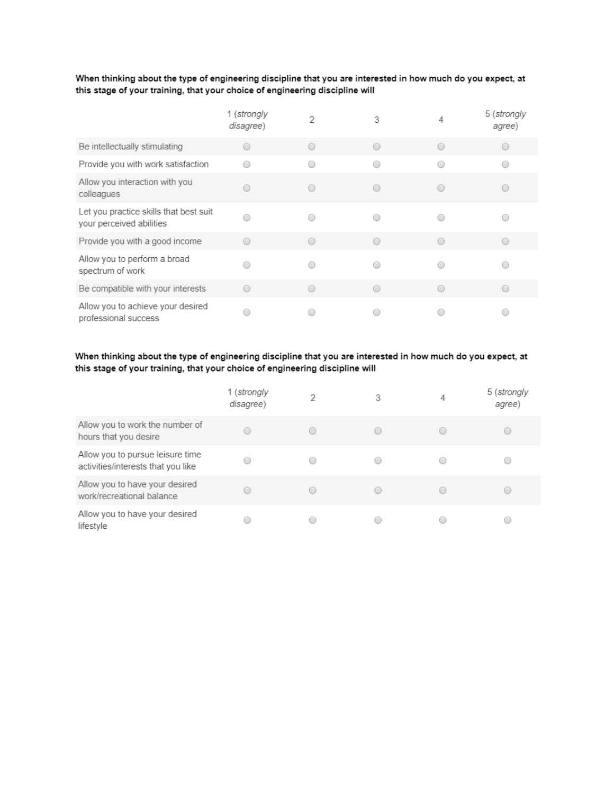#### When thinking about the type of engineering discipline that you are interested in how much do you expect, at this stage of your training, that your choice of engineering discipline will

|                                                                    | 1 (strongly<br>disagree) |            | 3          | 5 (strongly<br>agree) |
|--------------------------------------------------------------------|--------------------------|------------|------------|-----------------------|
| Be intellectually stimulating                                      |                          |            | ∩          |                       |
| Provide you with work satisfaction                                 |                          |            |            |                       |
| Allow you interaction with you<br>colleagues                       |                          |            | ∩          |                       |
| Let you practice skills that best suit<br>your perceived abilities |                          |            |            |                       |
| Provide you with a good income                                     | ∩                        | $\bigcirc$ | ∩          |                       |
| Allow you to perform a broad<br>spectrum of work                   |                          |            |            |                       |
| Be compatible with your interests                                  | ∩                        |            | $\bigcirc$ |                       |
| Allow you to achieve your desired<br>professional success          |                          |            |            |                       |

#### When thinking about the type of engineering discipline that you are interested in how much do you expect, at this stage of your training, that your choice of engineering discipline will

|                                                                        | 1 (strongly<br>disagree) | 2 | 3      | 4 | 5 (strongly<br>agree) |
|------------------------------------------------------------------------|--------------------------|---|--------|---|-----------------------|
| Allow you to work the number of<br>hours that you desire               |                          |   | $\cup$ |   | 0                     |
| Allow you to pursue leisure time<br>activities/interests that you like |                          |   |        |   |                       |
| Allow you to have your desired<br>work/recreational balance            |                          |   | С      |   |                       |
| Allow you to have your desired<br>lifestyle                            |                          |   |        |   |                       |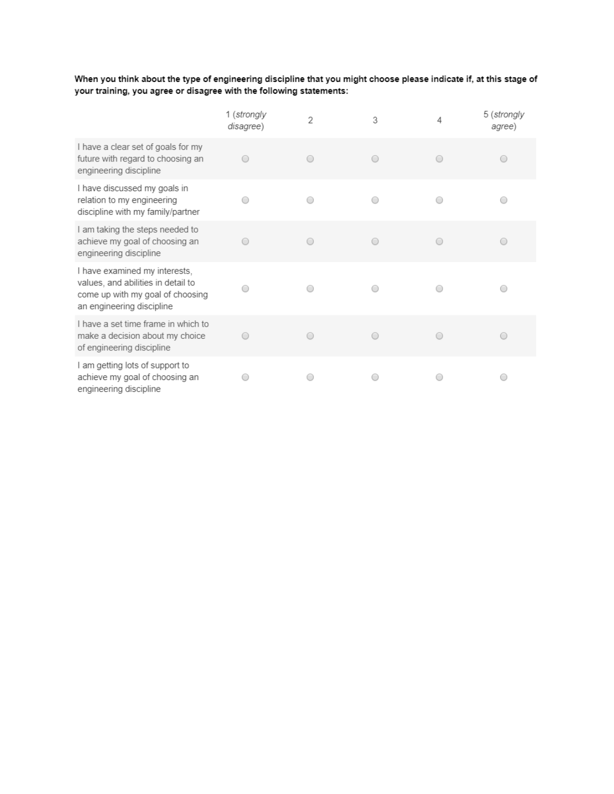When you think about the type of engineering discipline that you might choose please indicate if, at this stage of your training, you agree or disagree with the following statements:

|                                                                                                                                      | 1 (strongly<br>disagree) | 2 | 3         | 4 | 5 (strongly<br>agree) |
|--------------------------------------------------------------------------------------------------------------------------------------|--------------------------|---|-----------|---|-----------------------|
| I have a clear set of goals for my<br>future with regard to choosing an<br>engineering discipline                                    |                          |   | $\bigcap$ |   | ◯                     |
| I have discussed my goals in<br>relation to my engineering<br>discipline with my family/partner                                      |                          |   |           |   |                       |
| I am taking the steps needed to<br>achieve my goal of choosing an<br>engineering discipline                                          |                          |   |           |   |                       |
| I have examined my interests,<br>values, and abilities in detail to<br>come up with my goal of choosing<br>an engineering discipline |                          |   |           |   |                       |
| I have a set time frame in which to<br>make a decision about my choice<br>of engineering discipline                                  |                          |   | $\bigcap$ |   | ◯                     |
| I am getting lots of support to<br>achieve my goal of choosing an<br>engineering discipline                                          |                          |   |           |   |                       |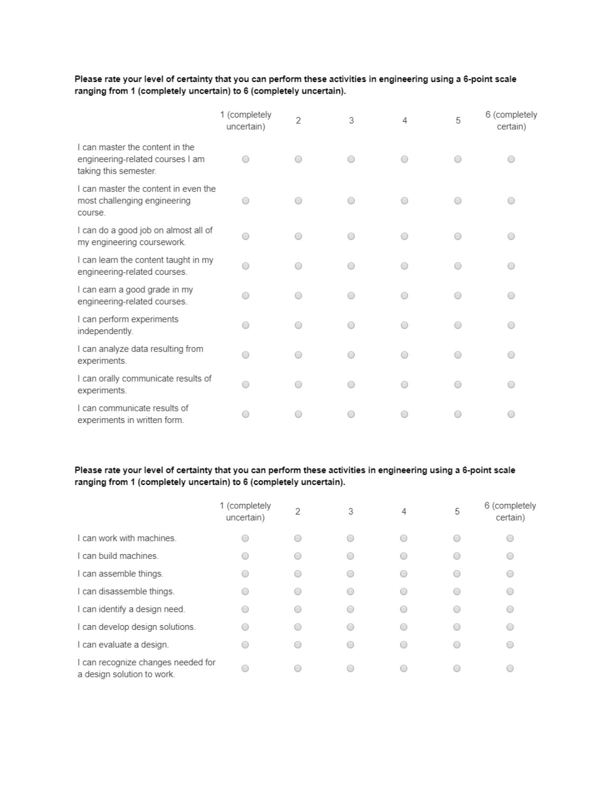#### Please rate your level of certainty that you can perform these activities in engineering using a 6-point scale ranging from 1 (completely uncertain) to 6 (completely uncertain).

|                                                                                              | 1 (completely<br>uncertain) | $\overline{2}$ | 3 | 4 | 5 | 6 (completely<br>certain) |
|----------------------------------------------------------------------------------------------|-----------------------------|----------------|---|---|---|---------------------------|
| I can master the content in the<br>engineering-related courses I am<br>taking this semester. |                             |                |   |   |   |                           |
| I can master the content in even the<br>most challenging engineering<br>course.              |                             | ∩              | ∩ |   |   |                           |
| I can do a good job on almost all of<br>my engineering coursework.                           |                             | ∩              | ∩ |   |   |                           |
| I can learn the content taught in my<br>engineering-related courses.                         |                             | ∩              | ∩ |   |   |                           |
| I can earn a good grade in my<br>engineering-related courses.                                |                             | ∩              | ∩ |   | ∩ |                           |
| I can perform experiments<br>independently.                                                  | ∩                           | ∩              | ∩ |   | ◯ | $\bigcirc$                |
| I can analyze data resulting from<br>experiments.                                            | ∩                           | ∩              | ∩ |   |   | ∩                         |
| I can orally communicate results of<br>experiments.                                          | ∩                           | ∩              | 0 |   |   | ∩                         |
| I can communicate results of<br>experiments in written form.                                 |                             | ∩              |   |   |   |                           |

#### Please rate your level of certainty that you can perform these activities in engineering using a 6-point scale ranging from 1 (completely uncertain) to 6 (completely uncertain).

|                                                                  | 1 (completely<br>uncertain) | 2                        | 3          | 4 | 5 | 6 (completely<br>certain) |
|------------------------------------------------------------------|-----------------------------|--------------------------|------------|---|---|---------------------------|
| I can work with machines.                                        |                             |                          | $\bigcirc$ |   |   |                           |
| I can build machines.                                            |                             |                          | ◯          |   |   |                           |
| I can assemble things.                                           |                             | $\hspace{0.1in} \bullet$ | ∩          |   |   |                           |
| I can disassemble things.                                        |                             | $\bigcirc$               | 0          |   |   |                           |
| I can identify a design need.                                    |                             | $\scriptstyle\bigcap$    | ∩          |   |   |                           |
| I can develop design solutions.                                  | ∩                           | $\bigcirc$               | 0          |   |   |                           |
| I can evaluate a design.                                         |                             | ◯                        | ∩          |   |   |                           |
| I can recognize changes needed for<br>a design solution to work. |                             |                          | ∩          |   |   |                           |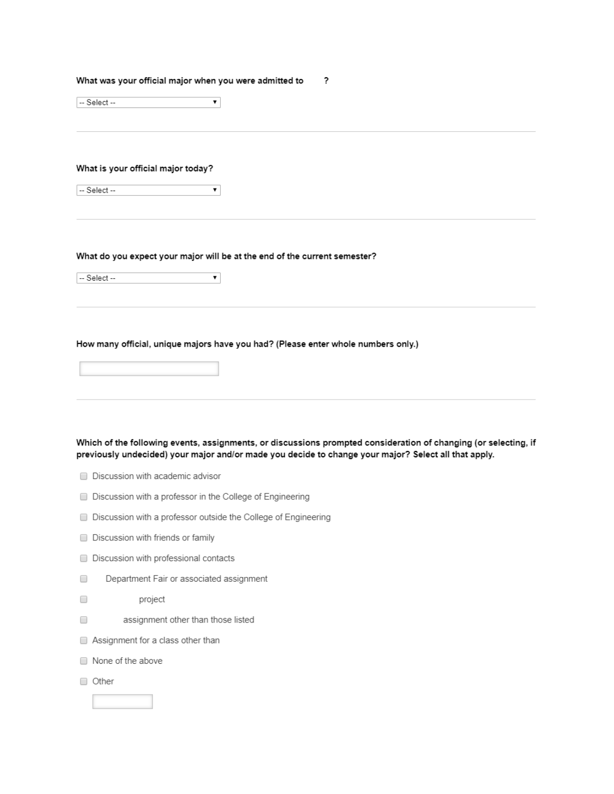#### What was your official major when you were admitted to ?

 $-$  Select $\overline{\mathbf{r}}$ 

#### What is your official major today?

 $\overline{\mathbf{v}}$ -- Select --

#### What do you expect your major will be at the end of the current semester?

 $-$  Select  $\pmb{\mathrm{v}}$ 

#### How many official, unique majors have you had? (Please enter whole numbers only.)

Which of the following events, assignments, or discussions prompted consideration of changing (or selecting, if previously undecided) your major and/or made you decide to change your major? Select all that apply.

- Discussion with academic advisor
- Discussion with a professor in the College of Engineering
- □ Discussion with a professor outside the College of Engineering
- Discussion with friends or family
- Discussion with professional contacts
- $\Box$ Department Fair or associated assignment
- $\Box$ project
- $\Box$ assignment other than those listed
- Assignment for a class other than
- None of the above
- Other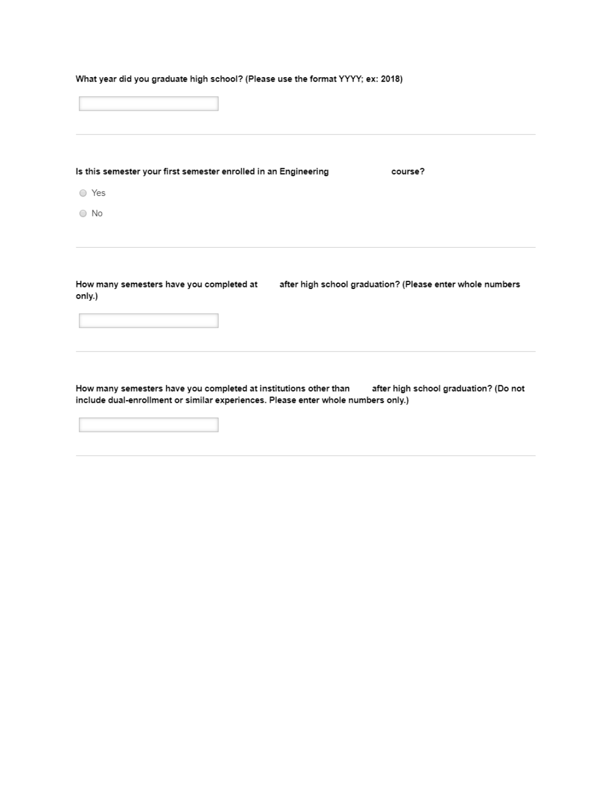|  |  |  |  |  | What year did you graduate high school? (Please use the format YYYY; ex: 2018) |  |
|--|--|--|--|--|--------------------------------------------------------------------------------|--|
|--|--|--|--|--|--------------------------------------------------------------------------------|--|

Is this semester your first semester enrolled in an Engineering course?

○ Yes

 $\bigcirc$  No

after high school graduation? (Please enter whole numbers How many semesters have you completed at only.)

How many semesters have you completed at institutions other than after high school graduation? (Do not include dual-enrollment or similar experiences. Please enter whole numbers only.)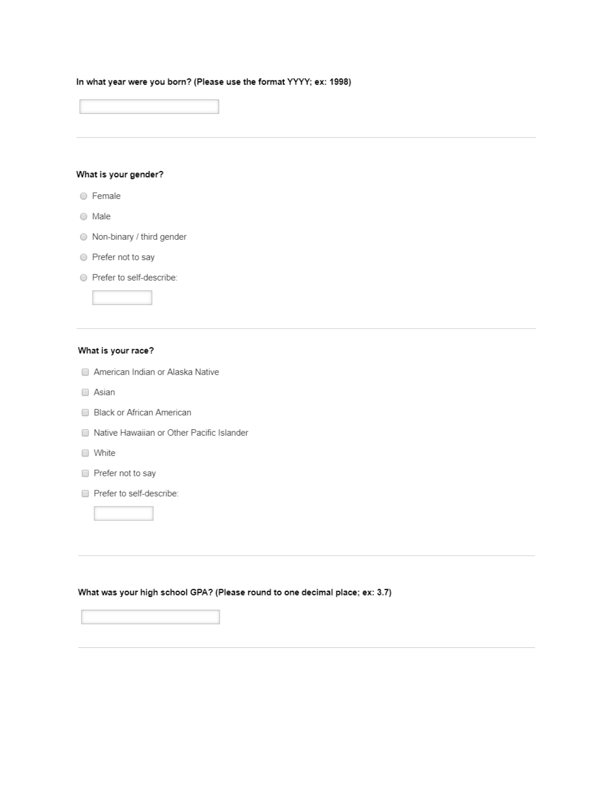#### In what year were you born? (Please use the format YYYY; ex: 1998)

#### What is your gender?

- Female
- $\bigcirc$  Male
- Non-binary / third gender
- Prefer not to say
- Prefer to self-describe:

#### What is your race?

- American Indian or Alaska Native
- Asian
- Black or African American
- Native Hawaiian or Other Pacific Islander
- □ White
- Prefer not to say
- Prefer to self-describe:

#### What was your high school GPA? (Please round to one decimal place; ex: 3.7)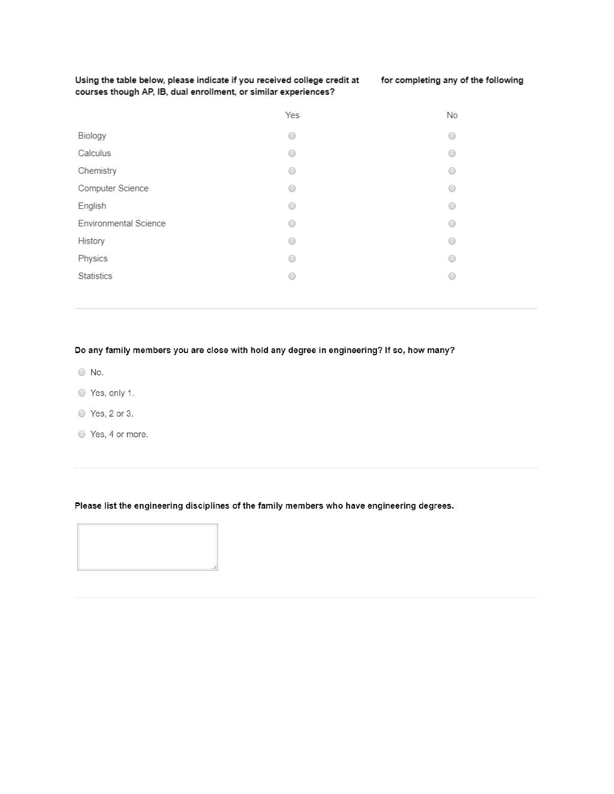Using the table below, please indicate if you received college credit at courses though AP, IB, dual enrollment, or similar experiences?

|                       | Yes | No                       |
|-----------------------|-----|--------------------------|
| Biology               | 0   | 0                        |
| Calculus              | ◯   |                          |
| Chemistry             | 0   | 0                        |
| Computer Science      | 0   | 0                        |
| English               | 0   | 0                        |
| Environmental Science | 0   | e                        |
| History               | ∩   | $\hspace{0.5cm} \bullet$ |
| Physics               | 0   | O                        |
| Statistics            | ∩   | ∩                        |
|                       |     |                          |

#### Do any family members you are close with hold any degree in engineering? If so, how many?

- $\bigcirc$  No.
- Yes, only 1.
- $\circ$  Yes, 2 or 3.
- Yes, 4 or more.

#### Please list the engineering disciplines of the family members who have engineering degrees.